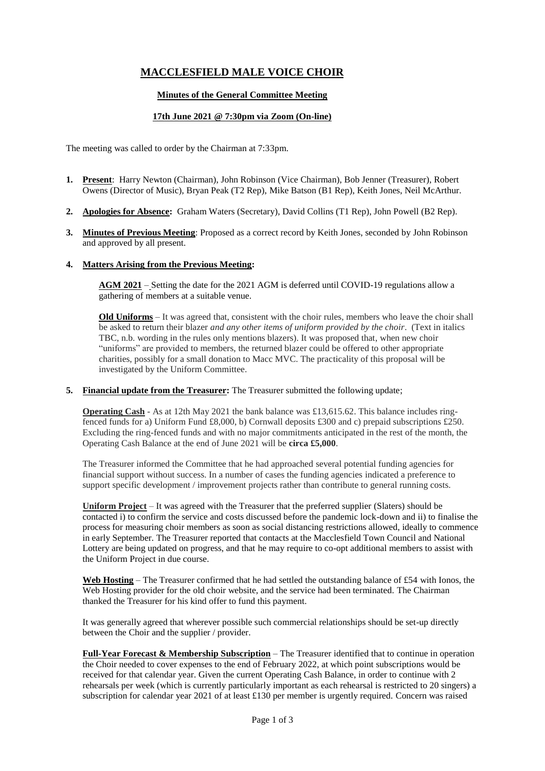# **MACCLESFIELD MALE VOICE CHOIR**

## **Minutes of the General Committee Meeting**

# **17th June 2021 @ 7:30pm via Zoom (On-line)**

The meeting was called to order by the Chairman at 7:33pm.

- **1. Present**: Harry Newton (Chairman), John Robinson (Vice Chairman), Bob Jenner (Treasurer), Robert Owens (Director of Music), Bryan Peak (T2 Rep), Mike Batson (B1 Rep), Keith Jones, Neil McArthur.
- **2. Apologies for Absence:** Graham Waters (Secretary), David Collins (T1 Rep), John Powell (B2 Rep).
- **3. Minutes of Previous Meeting**: Proposed as a correct record by Keith Jones, seconded by John Robinson and approved by all present.

#### **4. Matters Arising from the Previous Meeting:**

**AGM 2021** – Setting the date for the 2021 AGM is deferred until COVID-19 regulations allow a gathering of members at a suitable venue.

**Old Uniforms** – It was agreed that, consistent with the choir rules, members who leave the choir shall be asked to return their blazer *and any other items of uniform provided by the choir*. (Text in italics TBC, n.b. wording in the rules only mentions blazers). It was proposed that, when new choir "uniforms" are provided to members, the returned blazer could be offered to other appropriate charities, possibly for a small donation to Macc MVC. The practicality of this proposal will be investigated by the Uniform Committee.

**5. Financial update from the Treasurer:** The Treasurer submitted the following update;

**Operating Cash** - As at 12th May 2021 the bank balance was £13,615.62. This balance includes ringfenced funds for a) Uniform Fund £8,000, b) Cornwall deposits £300 and c) prepaid subscriptions £250. Excluding the ring-fenced funds and with no major commitments anticipated in the rest of the month, the Operating Cash Balance at the end of June 2021 will be **circa £5,000**.

The Treasurer informed the Committee that he had approached several potential funding agencies for financial support without success. In a number of cases the funding agencies indicated a preference to support specific development / improvement projects rather than contribute to general running costs.

**Uniform Project** – It was agreed with the Treasurer that the preferred supplier (Slaters) should be contacted i) to confirm the service and costs discussed before the pandemic lock-down and ii) to finalise the process for measuring choir members as soon as social distancing restrictions allowed, ideally to commence in early September. The Treasurer reported that contacts at the Macclesfield Town Council and National Lottery are being updated on progress, and that he may require to co-opt additional members to assist with the Uniform Project in due course.

**Web Hosting** – The Treasurer confirmed that he had settled the outstanding balance of £54 with Ionos, the Web Hosting provider for the old choir website, and the service had been terminated. The Chairman thanked the Treasurer for his kind offer to fund this payment.

It was generally agreed that wherever possible such commercial relationships should be set-up directly between the Choir and the supplier / provider.

**Full-Year Forecast & Membership Subscription** – The Treasurer identified that to continue in operation the Choir needed to cover expenses to the end of February 2022, at which point subscriptions would be received for that calendar year. Given the current Operating Cash Balance, in order to continue with 2 rehearsals per week (which is currently particularly important as each rehearsal is restricted to 20 singers) a subscription for calendar year 2021 of at least £130 per member is urgently required. Concern was raised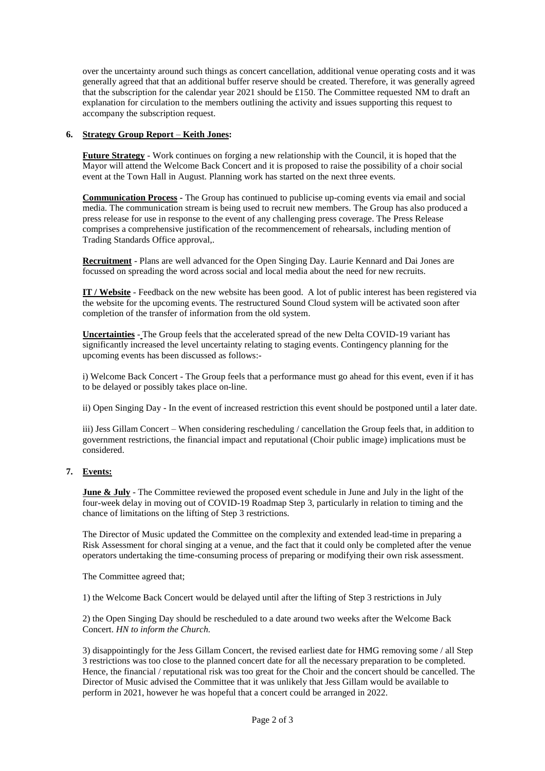over the uncertainty around such things as concert cancellation, additional venue operating costs and it was generally agreed that that an additional buffer reserve should be created. Therefore, it was generally agreed that the subscription for the calendar year 2021 should be £150. The Committee requested NM to draft an explanation for circulation to the members outlining the activity and issues supporting this request to accompany the subscription request.

#### **6. Strategy Group Report** – **Keith Jones:**

**Future Strategy** - Work continues on forging a new relationship with the Council, it is hoped that the Mayor will attend the Welcome Back Concert and it is proposed to raise the possibility of a choir social event at the Town Hall in August. Planning work has started on the next three events.

**Communication Process -** The Group has continued to publicise up-coming events via email and social media. The communication stream is being used to recruit new members. The Group has also produced a press release for use in response to the event of any challenging press coverage. The Press Release comprises a comprehensive justification of the recommencement of rehearsals, including mention of Trading Standards Office approval,.

**Recruitment** - Plans are well advanced for the Open Singing Day. Laurie Kennard and Dai Jones are focussed on spreading the word across social and local media about the need for new recruits.

**IT / Website** - Feedback on the new website has been good. A lot of public interest has been registered via the website for the upcoming events. The restructured Sound Cloud system will be activated soon after completion of the transfer of information from the old system.

**Uncertainties** - The Group feels that the accelerated spread of the new Delta COVID-19 variant has significantly increased the level uncertainty relating to staging events. Contingency planning for the upcoming events has been discussed as follows:-

i) Welcome Back Concert - The Group feels that a performance must go ahead for this event, even if it has to be delayed or possibly takes place on-line.

ii) Open Singing Day - In the event of increased restriction this event should be postponed until a later date.

iii) Jess Gillam Concert – When considering rescheduling / cancellation the Group feels that, in addition to government restrictions, the financial impact and reputational (Choir public image) implications must be considered.

## **7. Events:**

**June & July** - The Committee reviewed the proposed event schedule in June and July in the light of the four-week delay in moving out of COVID-19 Roadmap Step 3, particularly in relation to timing and the chance of limitations on the lifting of Step 3 restrictions.

The Director of Music updated the Committee on the complexity and extended lead-time in preparing a Risk Assessment for choral singing at a venue, and the fact that it could only be completed after the venue operators undertaking the time-consuming process of preparing or modifying their own risk assessment.

The Committee agreed that;

1) the Welcome Back Concert would be delayed until after the lifting of Step 3 restrictions in July

2) the Open Singing Day should be rescheduled to a date around two weeks after the Welcome Back Concert. *HN to inform the Church.*

3) disappointingly for the Jess Gillam Concert, the revised earliest date for HMG removing some / all Step 3 restrictions was too close to the planned concert date for all the necessary preparation to be completed. Hence, the financial / reputational risk was too great for the Choir and the concert should be cancelled. The Director of Music advised the Committee that it was unlikely that Jess Gillam would be available to perform in 2021, however he was hopeful that a concert could be arranged in 2022.